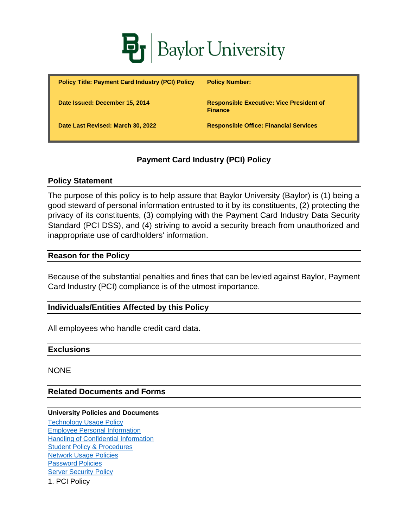

| <b>Policy Title: Payment Card Industry (PCI) Policy</b> | <b>Policy Number:</b>                                             |
|---------------------------------------------------------|-------------------------------------------------------------------|
| Date Issued: December 15, 2014                          | <b>Responsible Executive: Vice President of</b><br><b>Finance</b> |
| Date Last Revised: March 30, 2022                       | <b>Responsible Office: Financial Services</b>                     |

# **Payment Card Industry (PCI) Policy**

## **Policy Statement**

The purpose of this policy is to help assure that Baylor University (Baylor) is (1) being a good steward of personal information entrusted to it by its constituents, (2) protecting the privacy of its constituents, (3) complying with the Payment Card Industry Data Security Standard (PCI DSS), and (4) striving to avoid a security breach from unauthorized and inappropriate use of cardholders' information.

## **Reason for the Policy**

Because of the substantial penalties and fines that can be levied against Baylor, Payment Card Industry (PCI) compliance is of the utmost importance.

## **Individuals/Entities Affected by this Policy**

All employees who handle credit card data.

#### **Exclusions**

**NONE** 

## **Related Documents and Forms**

#### **University Policies and Documents**

1. PCI Policy [Technology Usage](https://www.baylor.edu/risk/doc.php/339230.pdf) Policy [Employee Personal Information](https://www.baylor.edu/risk/doc.php/339232.pdf) [Handling of Confidential Information](https://www.baylor.edu/risk/doc.php/339235.pdf) [Student Policy & Procedures](https://www.baylor.edu/student_policies/) [Network Usage Policies](https://www.baylor.edu/risk/doc.php/341712.pdf) [Password Policies](https://www.baylor.edu/risk/doc.php/341713.pdf) **[Server Security Policy](https://www.baylor.edu/risk/doc.php/341714.pdf)**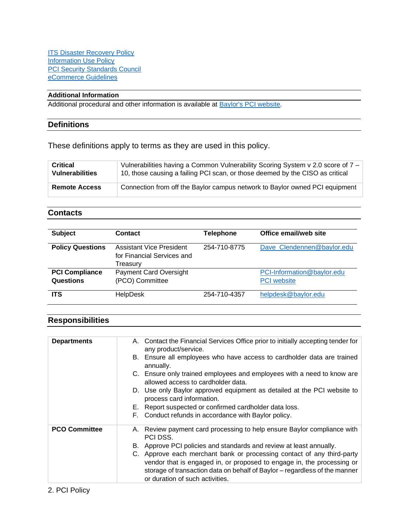#### **Additional Information**

Additional procedural and other information is available at [Baylor's PCI website.](https://www.baylor.edu/pci/)

#### **Definitions**

These definitions apply to terms as they are used in this policy.

| <b>Critical</b>        | Vulnerabilities having a Common Vulnerability Scoring System v 2.0 score of 7 – |
|------------------------|---------------------------------------------------------------------------------|
| <b>Vulnerabilities</b> | 10, those causing a failing PCI scan, or those deemed by the CISO as critical   |
| <b>Remote Access</b>   | Connection from off the Baylor campus network to Baylor owned PCI equipment     |

#### **Contacts**

| <b>Subject</b>                     | Contact                                                            | <b>Telephone</b> | Office email/web site                            |
|------------------------------------|--------------------------------------------------------------------|------------------|--------------------------------------------------|
| <b>Policy Questions</b>            | Assistant Vice President<br>for Financial Services and<br>Treasury | 254-710-8775     | Dave Clendennen@baylor.edu                       |
| <b>PCI Compliance</b><br>Questions | <b>Payment Card Oversight</b><br>(PCO) Committee                   |                  | PCI-Information@baylor.edu<br><b>PCI</b> website |
| <b>ITS</b>                         | <b>HelpDesk</b>                                                    | 254-710-4357     | helpdesk@baylor.edu                              |

## **Responsibilities**

| <b>Departments</b>   | A. Contact the Financial Services Office prior to initially accepting tender for<br>any product/service.                                             |
|----------------------|------------------------------------------------------------------------------------------------------------------------------------------------------|
|                      | B. Ensure all employees who have access to cardholder data are trained<br>annually.                                                                  |
|                      | C. Ensure only trained employees and employees with a need to know are<br>allowed access to cardholder data.                                         |
|                      | D. Use only Baylor approved equipment as detailed at the PCI website to<br>process card information.                                                 |
|                      | E. Report suspected or confirmed cardholder data loss.                                                                                               |
|                      | F. Conduct refunds in accordance with Baylor policy.                                                                                                 |
| <b>PCO Committee</b> | A. Review payment card processing to help ensure Baylor compliance with<br>PCI DSS.                                                                  |
|                      | B. Approve PCI policies and standards and review at least annually.                                                                                  |
|                      | C. Approve each merchant bank or processing contact of any third-party                                                                               |
|                      | vendor that is engaged in, or proposed to engage in, the processing or<br>storage of transaction data on behalf of Baylor - regardless of the manner |
|                      | or duration of such activities.                                                                                                                      |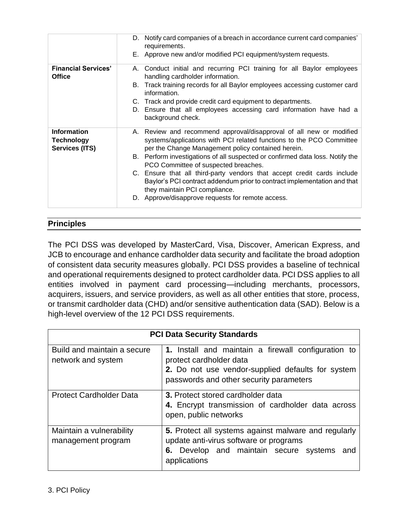| E. Approve new and/or modified PCI equipment/system requests.<br><b>Financial Services'</b><br>A. Conduct initial and recurring PCI training for all Baylor employees<br>handling cardholder information.<br><b>Office</b><br>B. Track training records for all Baylor employees accessing customer card<br>information. |
|--------------------------------------------------------------------------------------------------------------------------------------------------------------------------------------------------------------------------------------------------------------------------------------------------------------------------|
|                                                                                                                                                                                                                                                                                                                          |
|                                                                                                                                                                                                                                                                                                                          |
|                                                                                                                                                                                                                                                                                                                          |
| C. Track and provide credit card equipment to departments.                                                                                                                                                                                                                                                               |
| D. Ensure that all employees accessing card information have had a<br>background check.                                                                                                                                                                                                                                  |
| <b>Information</b><br>A. Review and recommend approval/disapproval of all new or modified<br>systems/applications with PCI related functions to the PCO Committee<br>Technology<br>Services (ITS)<br>per the Change Management policy contained herein.                                                                  |
| B. Perform investigations of all suspected or confirmed data loss. Notify the<br>PCO Committee of suspected breaches.                                                                                                                                                                                                    |
| C. Ensure that all third-party vendors that accept credit cards include<br>Baylor's PCI contract addendum prior to contract implementation and that<br>they maintain PCI compliance.                                                                                                                                     |
| D. Approve/disapprove requests for remote access.                                                                                                                                                                                                                                                                        |

# **Principles**

The PCI DSS was developed by MasterCard, Visa, Discover, American Express, and JCB to encourage and enhance cardholder data security and facilitate the broad adoption of consistent data security measures globally. PCI DSS provides a baseline of technical and operational requirements designed to protect cardholder data. PCI DSS applies to all entities involved in payment card processing—including merchants, processors, acquirers, issuers, and service providers, as well as all other entities that store, process, or transmit cardholder data (CHD) and/or sensitive authentication data (SAD). Below is a high-level overview of the 12 PCI DSS requirements.

| <b>PCI Data Security Standards</b>                |                                                                                                                                                                                |  |
|---------------------------------------------------|--------------------------------------------------------------------------------------------------------------------------------------------------------------------------------|--|
| Build and maintain a secure<br>network and system | 1. Install and maintain a firewall configuration to<br>protect cardholder data<br>2. Do not use vendor-supplied defaults for system<br>passwords and other security parameters |  |
| <b>Protect Cardholder Data</b>                    | 3. Protect stored cardholder data<br>4. Encrypt transmission of cardholder data across<br>open, public networks                                                                |  |
| Maintain a vulnerability<br>management program    | 5. Protect all systems against malware and regularly<br>update anti-virus software or programs<br>6. Develop and maintain secure systems and<br>applications                   |  |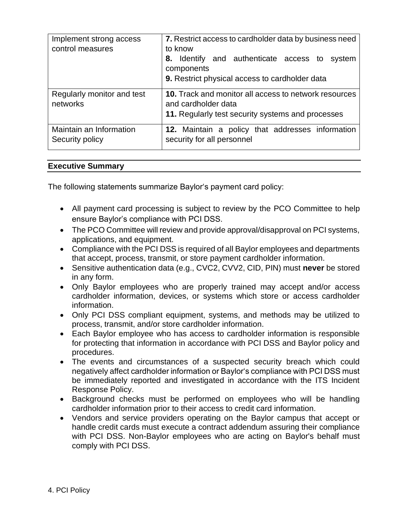| Implement strong access<br>control measures | 7. Restrict access to cardholder data by business need<br>to know<br>Identify and authenticate access to system<br>8.<br>components<br>9. Restrict physical access to cardholder data |
|---------------------------------------------|---------------------------------------------------------------------------------------------------------------------------------------------------------------------------------------|
| Regularly monitor and test<br>networks      | 10. Track and monitor all access to network resources<br>and cardholder data<br>11. Regularly test security systems and processes                                                     |
| Maintain an Information<br>Security policy  | 12. Maintain a policy that addresses information<br>security for all personnel                                                                                                        |

# **Executive Summary**

The following statements summarize Baylor's payment card policy:

- All payment card processing is subject to review by the PCO Committee to help ensure Baylor's compliance with PCI DSS.
- The PCO Committee will review and provide approval/disapproval on PCI systems, applications, and equipment.
- Compliance with the PCI DSS is required of all Baylor employees and departments that accept, process, transmit, or store payment cardholder information.
- Sensitive authentication data (e.g., CVC2, CVV2, CID, PIN) must **never** be stored in any form.
- Only Baylor employees who are properly trained may accept and/or access cardholder information, devices, or systems which store or access cardholder information.
- Only PCI DSS compliant equipment, systems, and methods may be utilized to process, transmit, and/or store cardholder information.
- Each Baylor employee who has access to cardholder information is responsible for protecting that information in accordance with PCI DSS and Baylor policy and procedures.
- The events and circumstances of a suspected security breach which could negatively affect cardholder information or Baylor's compliance with PCI DSS must be immediately reported and investigated in accordance with the ITS Incident Response Policy.
- Background checks must be performed on employees who will be handling cardholder information prior to their access to credit card information.
- Vendors and service providers operating on the Baylor campus that accept or handle credit cards must execute a contract addendum assuring their compliance with PCI DSS. Non-Baylor employees who are acting on Baylor's behalf must comply with PCI DSS.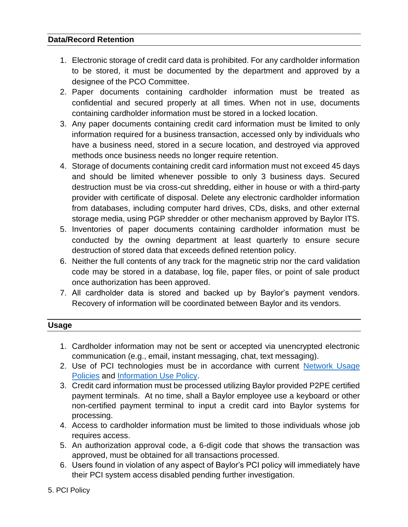# **Data/Record Retention**

- 1. Electronic storage of credit card data is prohibited. For any cardholder information to be stored, it must be documented by the department and approved by a designee of the PCO Committee.
- 2. Paper documents containing cardholder information must be treated as confidential and secured properly at all times. When not in use, documents containing cardholder information must be stored in a locked location.
- 3. Any paper documents containing credit card information must be limited to only information required for a business transaction, accessed only by individuals who have a business need, stored in a secure location, and destroyed via approved methods once business needs no longer require retention.
- 4. Storage of documents containing credit card information must not exceed 45 days and should be limited whenever possible to only 3 business days. Secured destruction must be via cross-cut shredding, either in house or with a third-party provider with certificate of disposal. Delete any electronic cardholder information from databases, including computer hard drives, CDs, disks, and other external storage media, using PGP shredder or other mechanism approved by Baylor ITS.
- 5. Inventories of paper documents containing cardholder information must be conducted by the owning department at least quarterly to ensure secure destruction of stored data that exceeds defined retention policy.
- 6. Neither the full contents of any track for the magnetic strip nor the card validation code may be stored in a database, log file, paper files, or point of sale product once authorization has been approved.
- 7. All cardholder data is stored and backed up by Baylor's payment vendors. Recovery of information will be coordinated between Baylor and its vendors.

# **Usage**

- 1. Cardholder information may not be sent or accepted via unencrypted electronic communication (e.g., email, instant messaging, chat, text messaging).
- 2. Use of PCI technologies must be in accordance with current [Network Usage](https://www.baylor.edu/risk/doc.php/341712.pdf)  [Policies](https://www.baylor.edu/risk/doc.php/341712.pdf) and [Information Use Policy.](https://www.baylor.edu/risk/doc.php/341710.pdf)
- 3. Credit card information must be processed utilizing Baylor provided P2PE certified payment terminals. At no time, shall a Baylor employee use a keyboard or other non-certified payment terminal to input a credit card into Baylor systems for processing.
- 4. Access to cardholder information must be limited to those individuals whose job requires access.
- 5. An authorization approval code, a 6-digit code that shows the transaction was approved, must be obtained for all transactions processed.
- 6. Users found in violation of any aspect of Baylor's PCI policy will immediately have their PCI system access disabled pending further investigation.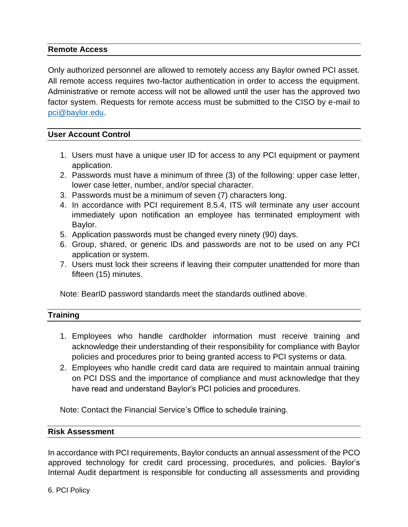# **Remote Access**

Only authorized personnel are allowed to remotely access any Baylor owned PCI asset. All remote access requires two-factor authentication in order to access the equipment. Administrative or remote access will not be allowed until the user has the approved two factor system. Requests for remote access must be submitted to the CISO by e-mail to [pci@baylor.edu.](mailto:pci@baylor.edu)

## **User Account Control**

- 1. Users must have a unique user ID for access to any PCI equipment or payment application.
- 2. Passwords must have a minimum of three (3) of the following: upper case letter, lower case letter, number, and/or special character.
- 3. Passwords must be a minimum of seven (7) characters long.
- 4. In accordance with PCI requirement 8.5.4, ITS will terminate any user account immediately upon notification an employee has terminated employment with Baylor.
- 5. Application passwords must be changed every ninety (90) days.
- 6. Group, shared, or generic IDs and passwords are not to be used on any PCI application or system.
- 7. Users must lock their screens if leaving their computer unattended for more than fifteen (15) minutes.

Note: BearID password standards meet the standards outlined above.

# **Training**

- 1. Employees who handle cardholder information must receive training and acknowledge their understanding of their responsibility for compliance with Baylor policies and procedures prior to being granted access to PCI systems or data.
- 2. Employees who handle credit card data are required to maintain annual training on PCI DSS and the importance of compliance and must acknowledge that they have read and understand Baylor's PCI policies and procedures.

Note: Contact the Financial Service's Office to schedule training.

## **Risk Assessment**

In accordance with PCI requirements, Baylor conducts an annual assessment of the PCO approved technology for credit card processing, procedures, and policies. Baylor's Internal Audit department is responsible for conducting all assessments and providing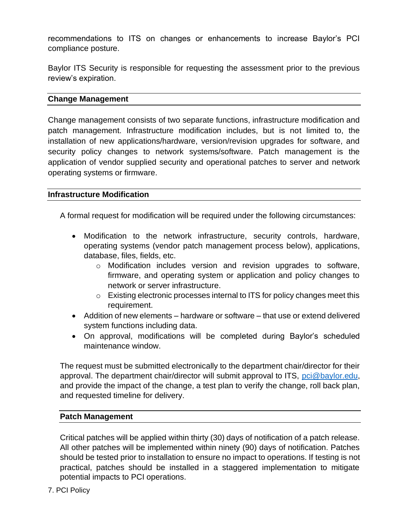recommendations to ITS on changes or enhancements to increase Baylor's PCI compliance posture.

Baylor ITS Security is responsible for requesting the assessment prior to the previous review's expiration.

# **Change Management**

Change management consists of two separate functions, infrastructure modification and patch management. Infrastructure modification includes, but is not limited to, the installation of new applications/hardware, version/revision upgrades for software, and security policy changes to network systems/software. Patch management is the application of vendor supplied security and operational patches to server and network operating systems or firmware.

## **Infrastructure Modification**

A formal request for modification will be required under the following circumstances:

- Modification to the network infrastructure, security controls, hardware, operating systems (vendor patch management process below), applications, database, files, fields, etc.
	- $\circ$  Modification includes version and revision upgrades to software, firmware, and operating system or application and policy changes to network or server infrastructure.
	- o Existing electronic processes internal to ITS for policy changes meet this requirement.
- Addition of new elements hardware or software that use or extend delivered system functions including data.
- On approval, modifications will be completed during Baylor's scheduled maintenance window.

The request must be submitted electronically to the department chair/director for their approval. The department chair/director will submit approval to ITS, [pci@baylor.edu,](mailto:pci@baylor.edu) and provide the impact of the change, a test plan to verify the change, roll back plan, and requested timeline for delivery.

# **Patch Management**

Critical patches will be applied within thirty (30) days of notification of a patch release. All other patches will be implemented within ninety (90) days of notification. Patches should be tested prior to installation to ensure no impact to operations. If testing is not practical, patches should be installed in a staggered implementation to mitigate potential impacts to PCI operations.